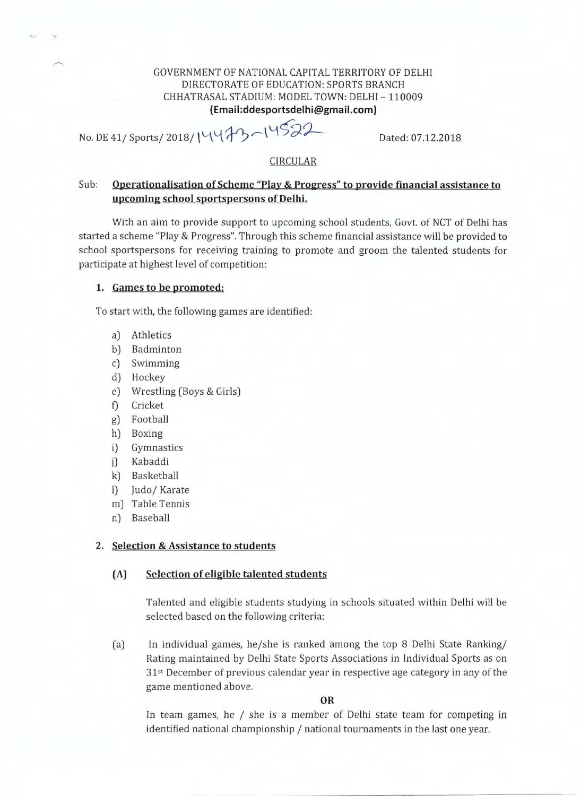# GOVERNMENT OF NATIONAL CAPITAL TERRITORY OF DELHI DIRECTORATE OF EDUCATION: SPORTS BRANCH CHHATRASAL STADIUM: MODEL TOWN: DELHI - 110009 **(Email:ddesportsdelhi@gmail.com)**

No. DE 41/ Sports/ 2018/ 1447 / 14522 Dated: 07.12.2018

# CIRCULAR

# Sub: **Operationalisation of Scheme "Play & Progress" to provide financial assistance to upcoming school sportspersons of Delhi.**

With an aim to provide support to upcoming school students, Govt. of NCT of Delhi has started a scheme "Play *&* Progress". Through this scheme financial assistance will be provided to school sportspersons for receiving training to promote and groom the talented students for participate at highest level of competition:

### **1. Games to be promoted:**

To start with, the following games are identified:

- a) Athletics
- b) Badminton
- c) Swimming
- d) Hockey
- e) Wrestling (Boys & Girls)
- f) Cricket
- g) Football
- h) Boxing
- i) Gymnastics
- j) Kabaddi
- k) Basketball
- I) Judo/ Karate
- m) Table Tennis
- n) Baseball

# **2. Selection & Assistance to students**

### **(A) Selection of eligible talented students**

Talented and eligible students studying in schools situated within Delhi will be selected based on the following criteria:

(a) In individual games, he/she is ranked among the top 8 Delhi State Ranking/ Rating maintained by Delhi State Sports Associations in Individual Sports as on 31st December of previous calendar year in respective age category in any of the game mentioned above.

#### **OR**

In team games, he / she is a member of Delhi state team for competing in identified national championship / national tournaments in the last one year.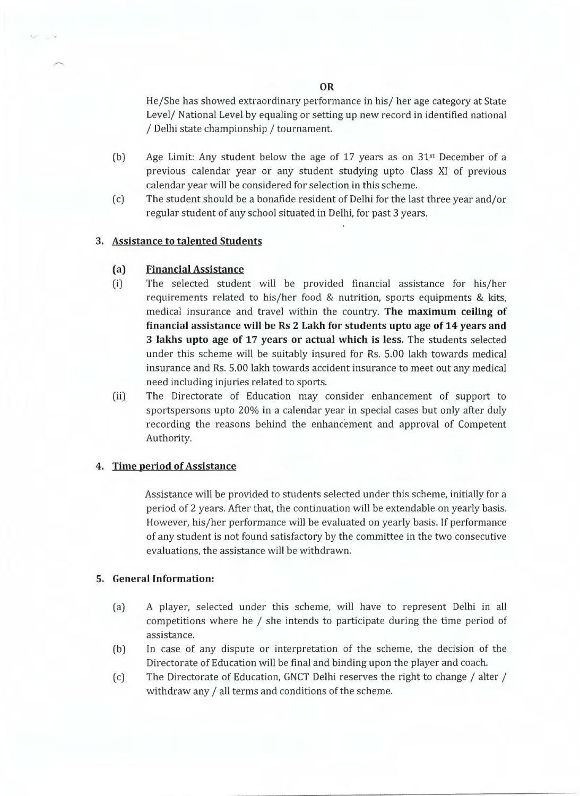He/She has showed extraordinary performance in his/ her age category at State Level/ National Level by equaling or setting up new record in identified national / Delhi state championship / tournament.

- (b) Age Limit: Any student below the age of 17 years as on  $31<sup>st</sup>$  December of a previous calendar year or any student studying upto Class XI of previous calendar year will be considered for selection in this scheme.
- (c) The student should be a bonafide resident of Delhi for the last three year and/or regular student of any school situated in Delhi, for past 3 years.

### **3. Assistance to talented Students**

#### (a) **Financial Assistance**

- (i) The selected student will be provided financial assistance for his/her requirements related to his/her food & nutrition, sports equipments & kits, medical insurance and travel within the country. **The maximum ceiling of financial assistance will be Rs 2 Lakh for students upto age of 14 years and 3 lakhs upto age of 17 years or actual which is less.** The students selected under this scheme will be suitably insured for Rs. 5.00 lakh towards medical insurance and Rs. 5.00 lakh towards accident insurance to meet out any medical need including injuries related to sports.
- (ii) The Directorate of Education may consider enhancement of support to sportspersons upto 20% in a calendar year in special cases but only after duly recording the reasons behind the enhancement and approval of Competent Authority.

#### **4. Time period of Assistance**

Assistance will be provided to students selected under this scheme, initially for a period of 2 years. After that, the continuation will be extendable on yearly basis. However, his/her performance will be evaluated on yearly basis. If performance of any student is not found satisfactory by the committee in the two consecutive evaluations, the assistance will be withdrawn.

#### **5. General Information:**

- (a) A player, selected under this scheme, will have to represent Delhi in all competitions where he / she intends to participate during the time period of assistance.
- (b) In case of any dispute or interpretation of the scheme, the decision of the Directorate of Education will be final and binding upon the player and coach.
- (c) The Directorate of Education, GNCT Delhi reserves the right to change / alter / withdraw any / all terms and conditions of the scheme.